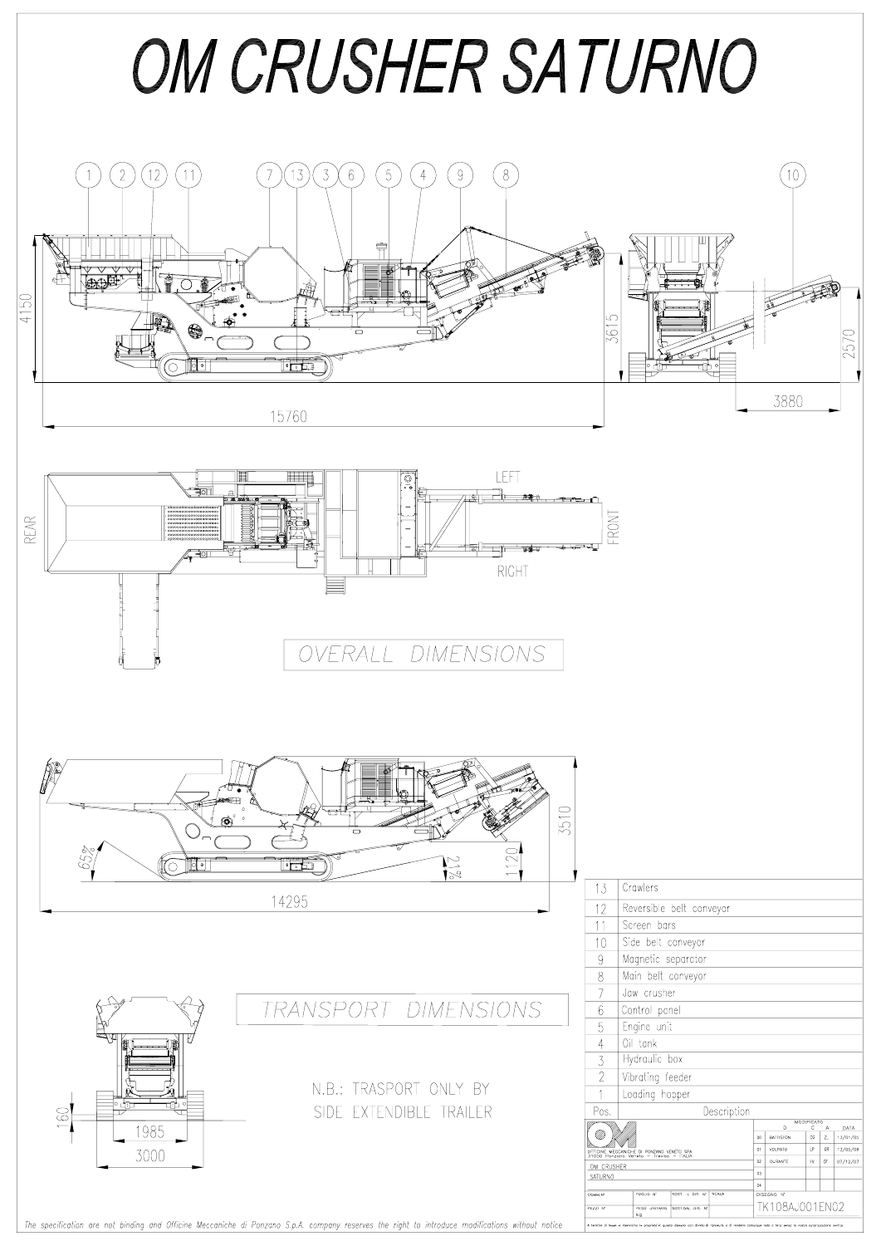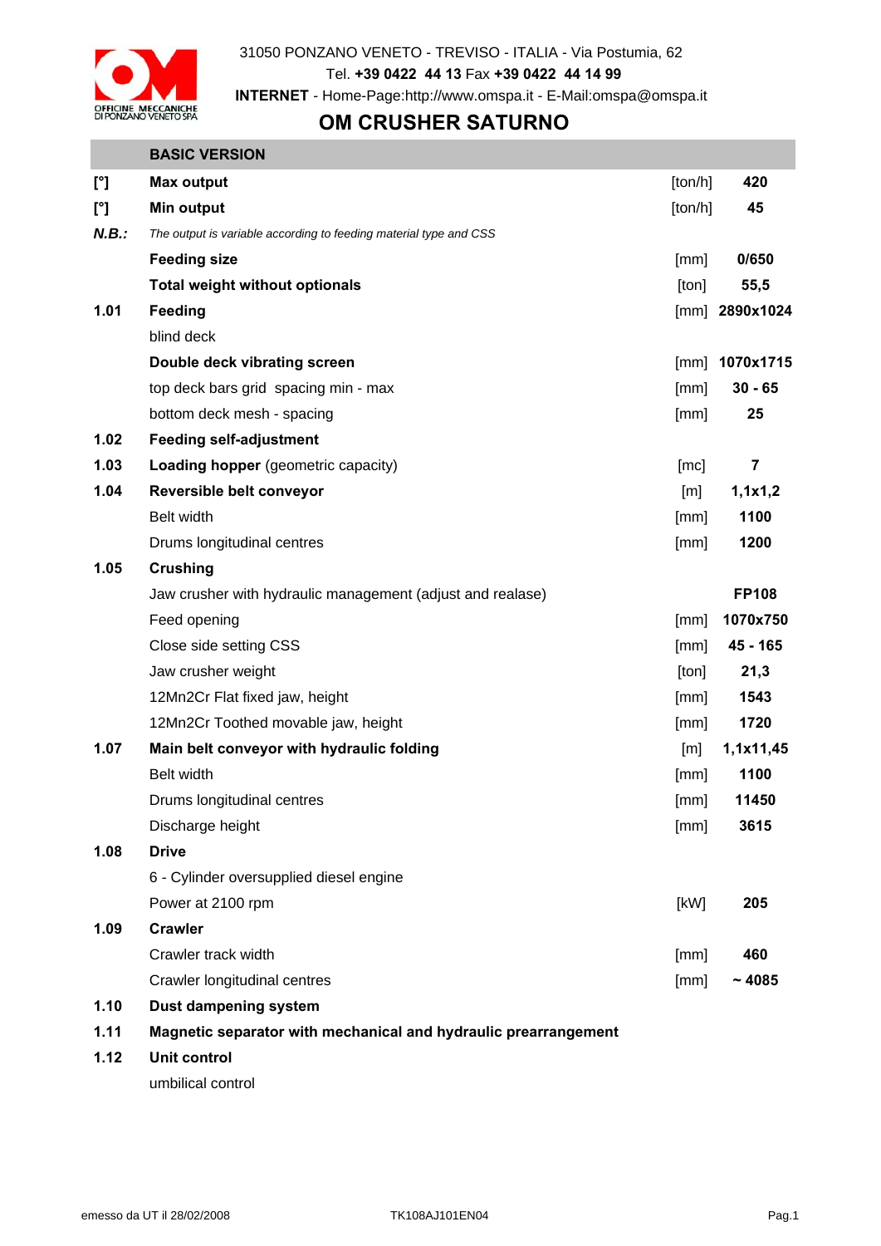

## **OM CRUSHER SATURNO**

#### **BASIC VERSION**

| $[^{\circ}]$ | <b>Max output</b>                                                 | [ton/h] | 420                     |
|--------------|-------------------------------------------------------------------|---------|-------------------------|
| $[^{\circ}]$ | <b>Min output</b>                                                 | [ton/h] | 45                      |
| N.B.:        | The output is variable according to feeding material type and CSS |         |                         |
|              | <b>Feeding size</b>                                               | [mm]    | 0/650                   |
|              | <b>Total weight without optionals</b>                             | [ton]   | 55,5                    |
| 1.01         | Feeding                                                           |         | [mm] $2890x1024$        |
|              | blind deck                                                        |         |                         |
|              | Double deck vibrating screen                                      | [mm]    | 1070x1715               |
|              | top deck bars grid spacing min - max                              | [mm]    | $30 - 65$               |
|              | bottom deck mesh - spacing                                        | [mm]    | 25                      |
| 1.02         | <b>Feeding self-adjustment</b>                                    |         |                         |
| 1.03         | Loading hopper (geometric capacity)                               | [mc]    | $\overline{\mathbf{7}}$ |
| 1.04         | Reversible belt conveyor                                          | [m]     | 1,1x1,2                 |
|              | Belt width                                                        | [mm]    | 1100                    |
|              | Drums longitudinal centres                                        | [mm]    | 1200                    |
| 1.05         | <b>Crushing</b>                                                   |         |                         |
|              | Jaw crusher with hydraulic management (adjust and realase)        |         | <b>FP108</b>            |
|              | Feed opening                                                      | [mm]    | 1070x750                |
|              | Close side setting CSS                                            | [mm]    | 45 - 165                |
|              | Jaw crusher weight                                                | [ton]   | 21,3                    |
|              | 12Mn2Cr Flat fixed jaw, height                                    | [mm]    | 1543                    |
|              | 12Mn2Cr Toothed movable jaw, height                               | [mm]    | 1720                    |
| 1.07         | Main belt conveyor with hydraulic folding                         | [m]     | 1,1x11,45               |
|              | <b>Belt width</b>                                                 | [mm]    | 1100                    |
|              | Drums longitudinal centres                                        | [mm]    | 11450                   |
|              | Discharge height                                                  | [mm]    | 3615                    |
| 1.08         | <b>Drive</b>                                                      |         |                         |
|              | 6 - Cylinder oversupplied diesel engine                           |         |                         |
|              | Power at 2100 rpm                                                 | [kW]    | 205                     |
| 1.09         | <b>Crawler</b>                                                    |         |                         |
|              | Crawler track width                                               | [mm]    | 460                     |
|              | Crawler longitudinal centres                                      | [mm]    | ~1085                   |
| 1.10         | Dust dampening system                                             |         |                         |
| 1.11         | Magnetic separator with mechanical and hydraulic prearrangement   |         |                         |
| 1.12         | <b>Unit control</b>                                               |         |                         |
|              | umbilical control                                                 |         |                         |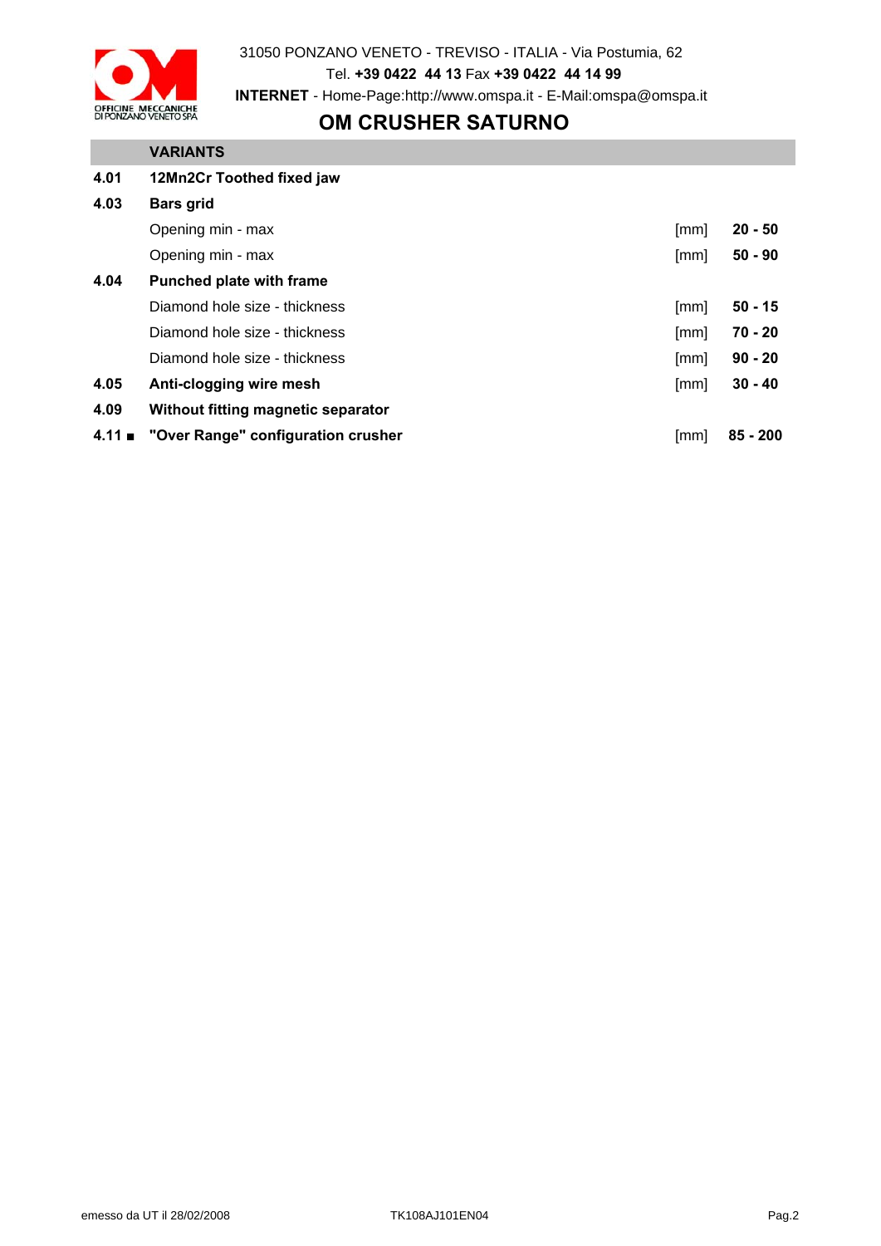

31050 PONZANO VENETO - TREVISO - ITALIA - Via Postumia, 62 Tel. **+39 0422 44 13** Fax **+39 0422 44 14 99 INTERNET** - Home-Page:http://www.omspa.it - E-Mail:omspa@omspa.it

### **OM CRUSHER SATURNO**

# **VARIANTS 4.01 12Mn2Cr Toothed fixed jaw 4.03 Bars grid**  Opening min - max [mm] **20 - 50** Opening min - max [mm] **50 - 90 4.04 Punched plate with frame** Diamond hole size - thickness **and in the size of the size of the size of the size of the size of the size of the size of the size of the size of the size of the size of the size of the size of the size of the size of the** Diamond hole size - thickness **and in the size of the size of the size of the size of the size of the size of the size of the size of the size of the size of the size of the size of the size of the size of the size of the** Diamond hole size - thickness **and in the size of the size of the size of the size of the size of the size of the size of the size of the size of the size of the size of the size of the size of the size of the size of the 4.05 Anti-clogging wire mesh** [mm] **30 - 40 4.09 Without fitting magnetic separator 4.11 ■ "Over Range" configuration crusher because the configuration crusher** [mm] **85 - 200**